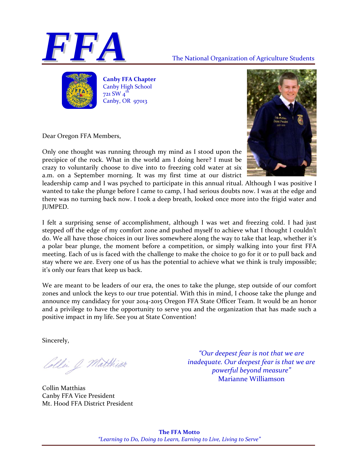



**Canby FFA Chapter** Canby High School 721 SW 4<sup>th</sup> Canby, OR 97013

Dear Oregon FFA Members,

Only one thought was running through my mind as I stood upon the precipice of the rock. What in the world am I doing here? I must be crazy to voluntarily choose to dive into to freezing cold water at six a.m. on a September morning. It was my first time at our district



leadership camp and I was psyched to participate in this annual ritual. Although I was positive I wanted to take the plunge before I came to camp, I had serious doubts now. I was at the edge and there was no turning back now. I took a deep breath, looked once more into the frigid water and JUMPED.

I felt a surprising sense of accomplishment, although I was wet and freezing cold. I had just stepped off the edge of my comfort zone and pushed myself to achieve what I thought I couldn't do. We all have those choices in our lives somewhere along the way to take that leap, whether it's a polar bear plunge, the moment before a competition, or simply walking into your first FFA meeting. Each of us is faced with the challenge to make the choice to go for it or to pull back and stay where we are. Every one of us has the potential to achieve what we think is truly impossible; it's only our fears that keep us back.

We are meant to be leaders of our era, the ones to take the plunge, step outside of our comfort zones and unlock the keys to our true potential. With this in mind, I choose take the plunge and announce my candidacy for your 2014‐2015 Oregon FFA State Officer Team. It would be an honor and a privilege to have the opportunity to serve you and the organization that has made such a positive impact in my life. See you at State Convention!

Sincerely,

ollie of Matthias

Collin Matthias Canby FFA Vice President Mt. Hood FFA District President

*"Our deepest fear is not that we are inadequate. Our deepest fear is that we are powerful beyond measure"*  Marianne Williamson